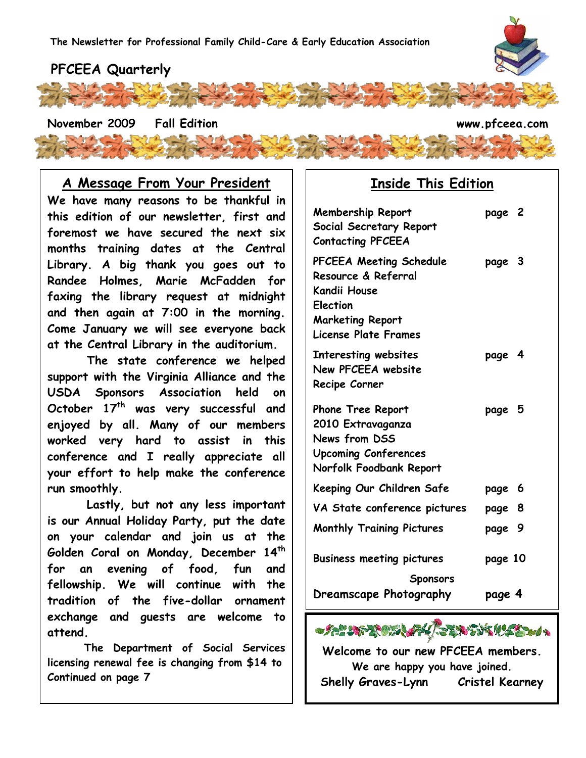## **PFCEEA Quarterly**

**November 2009 Fall Edition www.pfceea.com**

## **A Message From Your President**

**We have many reasons to be thankful in this edition of our newsletter, first and foremost we have secured the next six months training dates at the Central Library. A big thank you goes out to Randee Holmes, Marie McFadden for faxing the library request at midnight and then again at 7:00 in the morning. Come January we will see everyone back at the Central Library in the auditorium.** 

 **The state conference we helped support with the Virginia Alliance and the USDA Sponsors Association held on October 17th was very successful and enjoyed by all. Many of our members worked very hard to assist in this conference and I really appreciate all your effort to help make the conference run smoothly.** 

 **Lastly, but not any less important is our Annual Holiday Party, put the date on your calendar and join us at the Golden Coral on Monday, December 14th for an evening of food, fun and fellowship. We will continue with the tradition of the five-dollar ornament exchange and guests are welcome to attend.** 

 **The Department of Social Services licensing renewal fee is changing from \$14 to Continued on page 7** 

### **Inside This Edition**

| <b>Membership Report</b><br>Social Secretary Report<br><b>Contacting PFCEEA</b>                                                                           | page 2  |   |
|-----------------------------------------------------------------------------------------------------------------------------------------------------------|---------|---|
| <b>PFCEEA Meeting Schedule</b><br>Resource & Referral<br><b>Kandii House</b><br><b>Election</b><br><b>Marketing Report</b><br><b>License Plate Frames</b> | page 3  |   |
| Interesting websites<br>New PFCEEA website<br>Recipe Corner                                                                                               | page 4  |   |
| <b>Phone Tree Report</b><br>2010 Extravaganza<br>News from DSS<br><b>Upcoming Conferences</b><br>Norfolk Foodbank Report                                  | page 5  |   |
| Keeping Our Children Safe                                                                                                                                 | page    | 6 |
| VA State conference pictures                                                                                                                              | page 8  |   |
| <b>Monthly Training Pictures</b>                                                                                                                          | page 9  |   |
| <b>Business meeting pictures</b><br><b>Sponsors</b>                                                                                                       | page 10 |   |
| Dreamscape Photography                                                                                                                                    | page 4  |   |



**Welcome to our new PFCEEA members. We are happy you have joined. Shelly Graves-Lynn Cristel Kearney** 

1

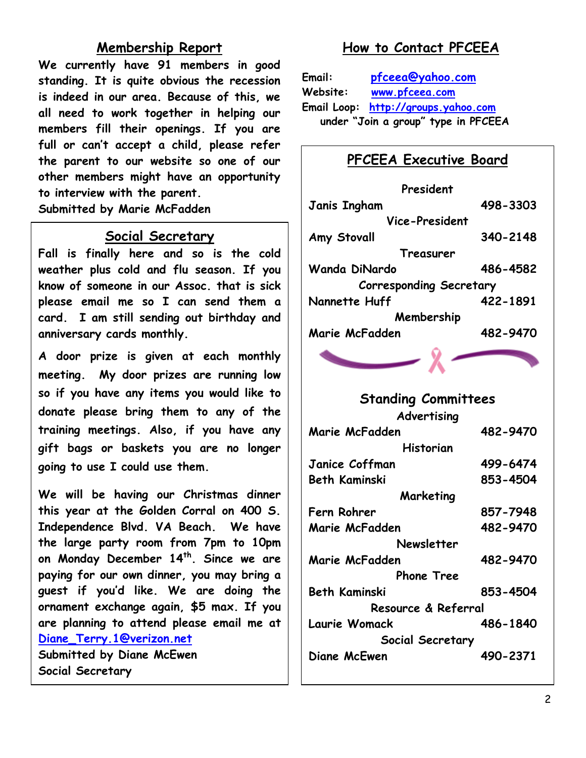## **Membership Report**

**We currently have 91 members in good standing. It is quite obvious the recession is indeed in our area. Because of this, we all need to work together in helping our members fill their openings. If you are full or can't accept a child, please refer the parent to our website so one of our other members might have an opportunity to interview with the parent. Submitted by Marie McFadden** 

### **Social Secretary**

**Fall is finally here and so is the cold weather plus cold and flu season. If you know of someone in our Assoc. that is sick please email me so I can send them a card. I am still sending out birthday and anniversary cards monthly.** 

**A door prize is given at each monthly meeting. My door prizes are running low so if you have any items you would like to donate please bring them to any of the training meetings. Also, if you have any gift bags or baskets you are no longer going to use I could use them.** 

**We will be having our Christmas dinner this year at the Golden Corral on 400 S. Independence Blvd. VA Beach. We have the large party room from 7pm to 10pm on Monday December 14th . Since we are paying for our own dinner, you may bring a guest if you'd like. We are doing the ornament exchange again, \$5 max. If you are planning to attend please email me at [Diane\\_Terry.1@verizon.net](mailto:Diane_Terry.1@verizon.net) Submitted by Diane McEwen Social Secretary** 

## **How to Contact PFCEEA**

**Email: [pfceea@yahoo.com](mailto:pfceea@yahoo.com) Website: [www.pfceea.com](http://www.pfceea.com/) Email Loop: [http://groups.yahoo.com](http://groups.yahoo.com/) under "Join a group" type in PFCEEA** 

## **PFCEEA Executive Board**

| President                      |          |  |  |
|--------------------------------|----------|--|--|
| <b>Janis Ingham</b>            | 498-3303 |  |  |
| Vice-President                 |          |  |  |
| Amy Stovall                    | 340-2148 |  |  |
| Treasurer                      |          |  |  |
| <b>Wanda DiNardo</b>           | 486-4582 |  |  |
| <b>Corresponding Secretary</b> |          |  |  |
| Nannette Huff                  | 422-1891 |  |  |
| Membership                     |          |  |  |
| Marie McFadden                 | 482-9470 |  |  |

# **Standing Committees**

**Advertising** 

| Marie McFadden       | 482-9470 |  |
|----------------------|----------|--|
| Historian            |          |  |
| Janice Coffman       | 499-6474 |  |
| Beth Kaminski        | 853-4504 |  |
| Marketing            |          |  |
| Fern Rohrer          | 857-7948 |  |
| Marie McFadden       | 482-9470 |  |
| Newsletter           |          |  |
| Marie McFadden       | 482-9470 |  |
| <b>Phone Tree</b>    |          |  |
| <b>Beth Kaminski</b> | 853-4504 |  |
| Resource & Referral  |          |  |
| Laurie Womack        | 486-1840 |  |
| Social Secretary     |          |  |
| Diane McEwen         | 490-2371 |  |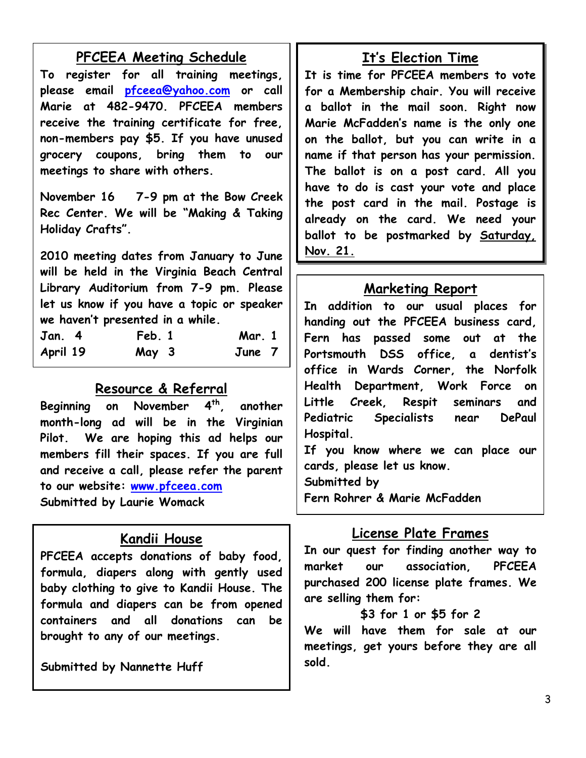## **PFCEEA Meeting Schedule**

**To register for all training meetings, please email [pfceea@yahoo.com](mailto:pfceea@yahoo.com) or call Marie at 482-9470. PFCEEA members receive the training certificate for free, non-members pay \$5. If you have unused grocery coupons, bring them to our meetings to share with others.** 

**November 16 7-9 pm at the Bow Creek Rec Center. We will be "Making & Taking Holiday Crafts".** 

**2010 meeting dates from January to June will be held in the Virginia Beach Central Library Auditorium from 7-9 pm. Please let us know if you have a topic or speaker we haven't presented in a while.** 

| <b>Jan. 4</b> | Feb. 1 | <b>Mar. 1</b> |  |
|---------------|--------|---------------|--|
| April 19      | May 3  | June 7        |  |

## **Resource & Referral**

**Beginning on November 4th, another month-long ad will be in the Virginian Pilot. We are hoping this ad helps our members fill their spaces. If you are full and receive a call, please refer the parent to our website: [www.pfceea.com](http://www.pfceea.com/) Submitted by Laurie Womack** 

## **Kandii House**

**PFCEEA accepts donations of baby food, formula, diapers along with gently used baby clothing to give to Kandii House. The formula and diapers can be from opened containers and all donations can be brought to any of our meetings.**

**Submitted by Nannette Huff** 

# **It's Election Time**

**It is time for PFCEEA members to vote for a Membership chair. You will receive a ballot in the mail soon. Right now Marie McFadden's name is the only one on the ballot, but you can write in a name if that person has your permission. The ballot is on a post card. All you have to do is cast your vote and place the post card in the mail. Postage is already on the card. We need your ballot to be postmarked by Saturday, Nov. 21.**

## **Marketing Report**

**In addition to our usual places for handing out the PFCEEA business card, Fern has passed some out at the Portsmouth DSS office, a dentist's office in Wards Corner, the Norfolk Health Department, Work Force on Little Creek, Respit seminars and Pediatric Specialists near DePaul Hospital.** 

**If you know where we can place our cards, please let us know.** 

**Submitted by** 

**Fern Rohrer & Marie McFadden** 

# **License Plate Frames**

**In our quest for finding another way to market our association, PFCEEA purchased 200 license plate frames. We are selling them for:** 

#### **\$3 for 1 or \$5 for 2**

**We will have them for sale at our meetings, get yours before they are all sold.**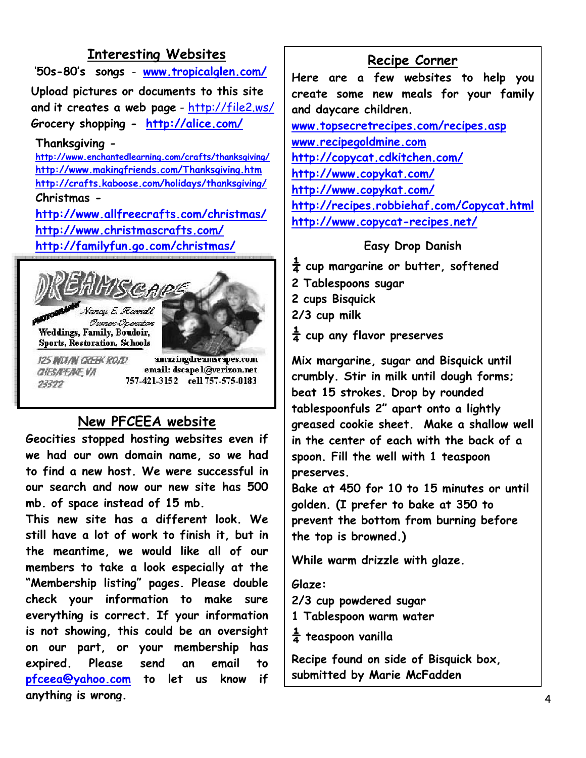## **Interesting Websites**

 '**50s-80's songs** - **[www.tropicalglen.com/](http://www.tropicalglen.com/) Upload pictures or documents to this site and it creates a web page** -<http://file2.ws/> **Grocery shopping - <http://alice.com/>**

#### **Thanksgiving -**

**<http://www.enchantedlearning.com/crafts/thanksgiving/> <http://www.makingfriends.com/Thanksgiving.htm> <http://crafts.kaboose.com/holidays/thanksgiving/> Christmas -** 

**<http://www.allfreecrafts.com/christmas/> <http://www.christmascrafts.com/> <http://familyfun.go.com/christmas/>**



**CHESAREAC VA** 23322

email: dscapel@verizon.net 757-421-3152 cell 757-575-0183

# **New PFCEEA website**

**Geocities stopped hosting websites even if we had our own domain name, so we had to find a new host. We were successful in our search and now our new site has 500 mb. of space instead of 15 mb.** 

**This new site has a different look. We still have a lot of work to finish it, but in the meantime, we would like all of our members to take a look especially at the "Membership listing" pages. Please double check your information to make sure everything is correct. If your information is not showing, this could be an oversight on our part, or your membership has expired. Please send an email to [pfceea@yahoo.com](mailto:pfceea@yahoo.com) to let us know if anything is wrong.**

#### **Recipe Corner**

**Here are a few websites to help you create some new meals for your family and daycare children.** 

**[www.topsecretrecipes.com/recipes.asp](http://www.topsecretrecipes.com/recipes.asp) [www.recipegoldmine.com](http://www.recipegoldmine.com/) <http://copycat.cdkitchen.com/> <http://www.copykat.com/> <http://www.copykat.com/> <http://recipes.robbiehaf.com/Copycat.html> <http://www.copycat-recipes.net/>**

#### **Easy Drop Danish**

**¼ cup margarine or butter, softened** 

- **2 Tablespoons sugar**
- **2 cups Bisquick**
- **2/3 cup milk**
- **¼ cup any flavor preserves**

**Mix margarine, sugar and Bisquick until crumbly. Stir in milk until dough forms; beat 15 strokes. Drop by rounded tablespoonfuls 2" apart onto a lightly greased cookie sheet. Make a shallow well in the center of each with the back of a spoon. Fill the well with 1 teaspoon preserves.** 

**Bake at 450 for 10 to 15 minutes or until golden. (I prefer to bake at 350 to prevent the bottom from burning before the top is browned.)** 

**While warm drizzle with glaze.** 

#### **Glaze:**

**2/3 cup powdered sugar** 

**1 Tablespoon warm water** 

**¼ teaspoon vanilla** 

**Recipe found on side of Bisquick box, submitted by Marie McFadden**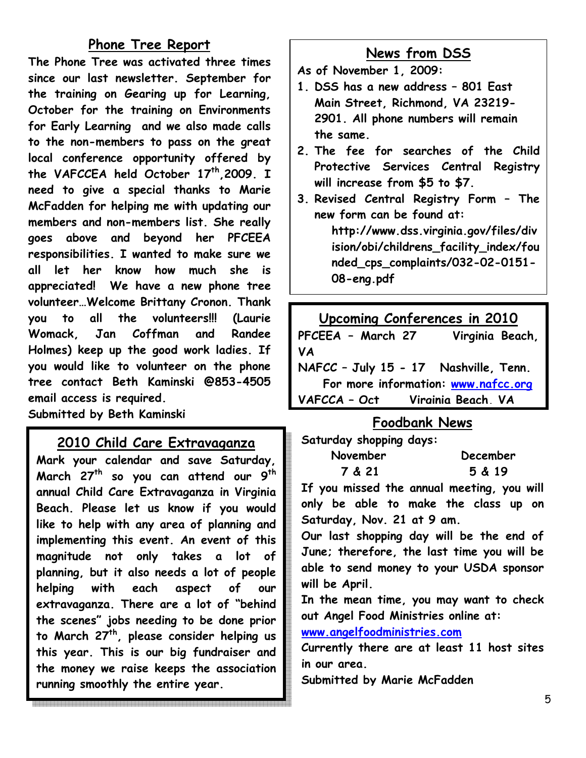## **Phone Tree Report**

**The Phone Tree was activated three times since our last newsletter. September for the training on Gearing up for Learning, October for the training on Environments for Early Learning and we also made calls to the non-members to pass on the great local conference opportunity offered by the VAFCCEA held October 17th,2009. I need to give a special thanks to Marie McFadden for helping me with updating our members and non-members list. She really goes above and beyond her PFCEEA responsibilities. I wanted to make sure we all let her know how much she is appreciated! We have a new phone tree volunteer…Welcome Brittany Cronon. Thank you to all the volunteers!!! (Laurie Womack, Jan Coffman and Randee Holmes) keep up the good work ladies. If you would like to volunteer on the phone tree contact Beth Kaminski @853-4505 email access is required. Submitted by Beth Kaminski**

### **2010 Child Care Extravaganza**

**Mark your calendar and save Saturday, March 27th so you can attend our 9th annual Child Care Extravaganza in Virginia Beach. Please let us know if you would like to help with any area of planning and implementing this event. An event of this magnitude not only takes a lot of planning, but it also needs a lot of people helping with each aspect of our extravaganza. There are a lot of "behind the scenes" jobs needing to be done prior to March 27th, please consider helping us this year. This is our big fundraiser and the money we raise keeps the association running smoothly the entire year.** 

## **News from DSS**

- **As of November 1, 2009:**
- **1. DSS has a new address 801 East Main Street, Richmond, VA 23219- 2901. All phone numbers will remain the same.**
- **2. The fee for searches of the Child Protective Services Central Registry will increase from \$5 to \$7.**
- **3. Revised Central Registry Form The new form can be found at:**

**http://www.dss.virginia.gov/files/div ision/obi/childrens\_facility\_index/fou nded\_cps\_complaints/032-02-0151- 08-eng.pdf** 

| Upcoming Conferences in 2010          |                 |  |  |
|---------------------------------------|-----------------|--|--|
| PFCEEA - March 27                     | Virginia Beach, |  |  |
| <b>VA</b>                             |                 |  |  |
| NAFCC - July 15 - 17 Nashville, Tenn. |                 |  |  |
| For more information: www.nafcc.org   |                 |  |  |
| VAFCCA - Oct Virginia Beach, VA       |                 |  |  |

## **Foodbank News**

**Saturday shopping days:** 

| November | <b>December</b> |
|----------|-----------------|
| 7 & 21   | 5 & 19          |

**If you missed the annual meeting, you will only be able to make the class up on Saturday, Nov. 21 at 9 am.** 

**Our last shopping day will be the end of June; therefore, the last time you will be able to send money to your USDA sponsor will be April.** 

**In the mean time, you may want to check out Angel Food Ministries online at:** 

**[www.angelfoodministries.com](http://www.angelfoodministries.com/)**

**Currently there are at least 11 host sites in our area.** 

**Submitted by Marie McFadden**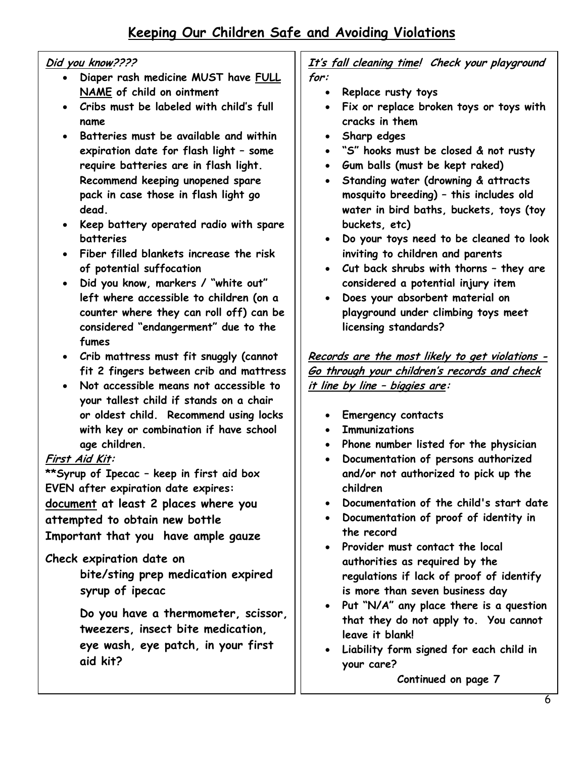## **Keeping Our Children Safe and Avoiding Violations**

#### **Did you know????**

- **Diaper rash medicine MUST have FULL NAME of child on ointment**
- **Cribs must be labeled with child's full name**
- **Batteries must be available and within expiration date for flash light – some require batteries are in flash light. Recommend keeping unopened spare pack in case those in flash light go dead.**
- **Keep battery operated radio with spare batteries**
- **Fiber filled blankets increase the risk of potential suffocation**
- **Did you know, markers / "white out" left where accessible to children (on a counter where they can roll off) can be considered "endangerment" due to the fumes**
- **Crib mattress must fit snuggly (cannot fit 2 fingers between crib and mattress**
- **Not accessible means not accessible to your tallest child if stands on a chair or oldest child. Recommend using locks with key or combination if have school age children.**

#### **First Aid Kit:**

**\*\*Syrup of Ipecac – keep in first aid box EVEN after expiration date expires: document at least 2 places where you attempted to obtain new bottle Important that you have ample gauze** 

#### **Check expiration date on**

 **bite/sting prep medication expired syrup of ipecac** 

**Do you have a thermometer, scissor, tweezers, insect bite medication, eye wash, eye patch, in your first aid kit?** 

**It's fall cleaning time! Check your playground for:** 

- **Replace rusty toys**
- **Fix or replace broken toys or toys with cracks in them**
- **Sharp edges**
- **"S" hooks must be closed & not rusty**
- **Gum balls (must be kept raked)**
- **Standing water (drowning & attracts mosquito breeding) – this includes old water in bird baths, buckets, toys (toy buckets, etc)**
- **Do your toys need to be cleaned to look inviting to children and parents**
- **Cut back shrubs with thorns they are considered a potential injury item**
- **Does your absorbent material on playground under climbing toys meet licensing standards?**

**Records are the most likely to get violations - Go through your children's records and check it line by line – biggies are:** 

- **Emergency contacts**
- **Immunizations**
- **Phone number listed for the physician**
- **Documentation of persons authorized and/or not authorized to pick up the children**
- **Documentation of the child's start date**
- **Documentation of proof of identity in the record**
- **Provider must contact the local authorities as required by the regulations if lack of proof of identify is more than seven business day**
- **Put "N/A" any place there is a question that they do not apply to. You cannot leave it blank!**
- **Liability form signed for each child in your care?**

 **Continued on page 7**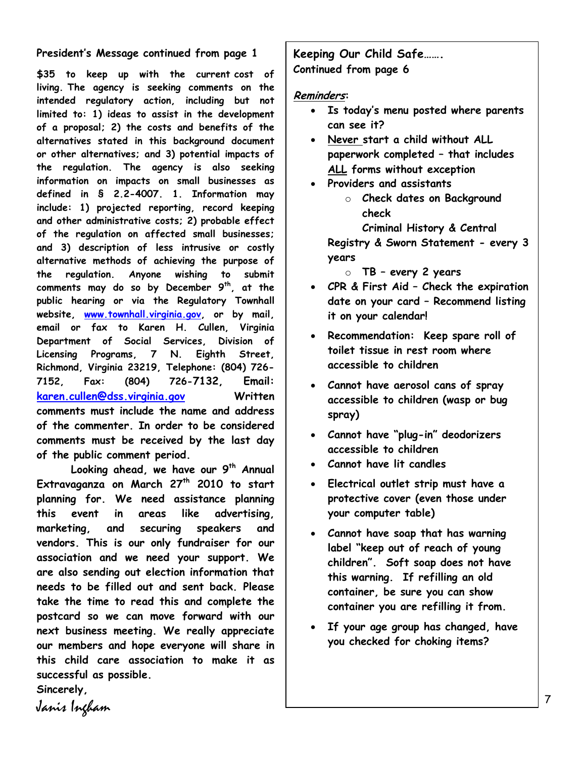#### **President's Message continued from page 1**

**\$35 to keep up with the current cost of living. The agency is seeking comments on the intended regulatory action, including but not limited to: 1) ideas to assist in the development of a proposal; 2) the costs and benefits of the alternatives stated in this background document or other alternatives; and 3) potential impacts of the regulation. The agency is also seeking information on impacts on small businesses as defined in § 2.2-4007. 1. Information may include: 1) projected reporting, record keeping and other administrative costs; 2) probable effect of the regulation on affected small businesses; and 3) description of less intrusive or costly alternative methods of achieving the purpose of the regulation. Anyone wishing to submit comments may do so by December 9th, at the public hearing or via the Regulatory Townhall website, [www.townhall.virginia.gov](http://www.townhall.virginia.gov/), or by mail, email or fax to Karen H. Cullen, Virginia Department of Social Services, Division of Licensing Programs, 7 N. Eighth Street, Richmond, Virginia 23219, Telephone: (804) 726- 7152, Fax: (804) 726-7132, Email: [karen.cullen@dss.virginia.gov](mailto:karen.cullen@dss.virginia.gov) Written comments must include the name and address of the commenter. In order to be considered comments must be received by the last day of the public comment period.** 

**Looking ahead, we have our 9th Annual Extravaganza on March 27th 2010 to start planning for. We need assistance planning this event in areas like advertising, marketing, and securing speakers and vendors. This is our only fundraiser for our association and we need your support. We are also sending out election information that needs to be filled out and sent back. Please take the time to read this and complete the postcard so we can move forward with our next business meeting. We really appreciate our members and hope everyone will share in this child care association to make it as successful as possible.** 

**Sincerely,**  Janis Ingham **Keeping Our Child Safe……. Continued from page 6** 

#### **Reminders:**

- **Is today's menu posted where parents can see it?**
- **Never start a child without ALL paperwork completed – that includes ALL forms without exception**
- **Providers and assistants** 
	- o **Check dates on Background check**

**Criminal History & Central Registry & Sworn Statement - every 3 years** 

- o **TB every 2 years**
- **CPR & First Aid Check the expiration date on your card – Recommend listing it on your calendar!**
- **Recommendation: Keep spare roll of toilet tissue in rest room where accessible to children**
- **Cannot have aerosol cans of spray accessible to children (wasp or bug spray)**
- **Cannot have "plug-in" deodorizers accessible to children**
- **Cannot have lit candles**
- **Electrical outlet strip must have a protective cover (even those under your computer table)**
- **Cannot have soap that has warning label "keep out of reach of young children". Soft soap does not have this warning. If refilling an old container, be sure you can show container you are refilling it from.**
- **If your age group has changed, have you checked for choking items?**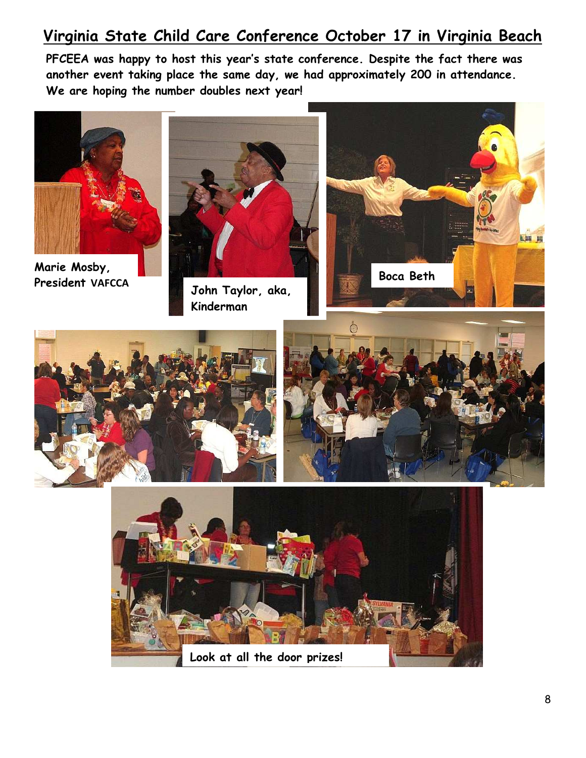# **Virginia State Child Care Conference October 17 in Virginia Beach**

**PFCEEA was happy to host this year's state conference. Despite the fact there was another event taking place the same day, we had approximately 200 in attendance. We are hoping the number doubles next year!**





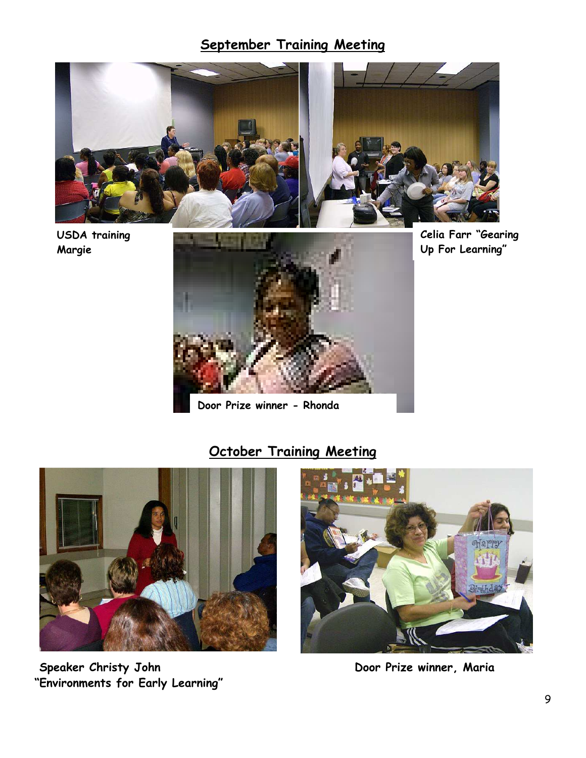## **September Training Meeting**



**USDA training Margie** 



**Door Prize winner - Rhonda** 

## **Celia Farr "Gearing Up For Learning"**

## **October Training Meeting**



 **Speaker Christy John Door Prize winner, Maria "Environments for Early Learning"** 

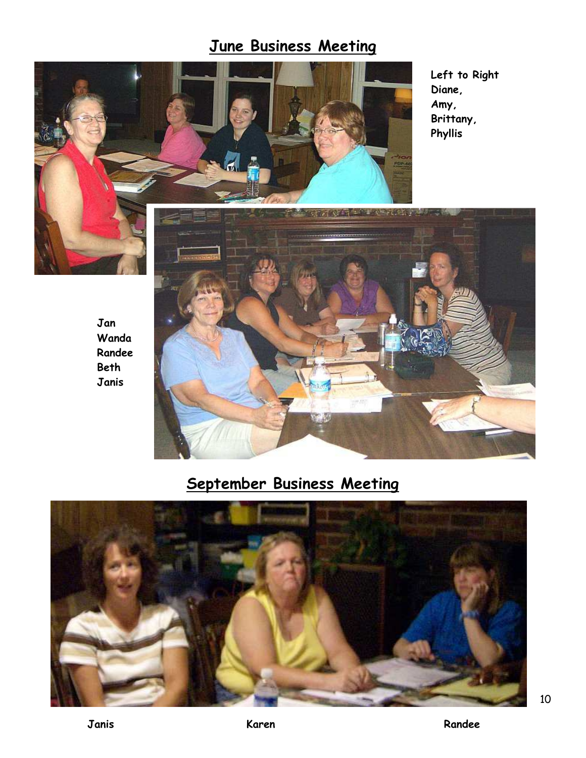# **June Business Meeting**



**Left to Right Diane, Amy, Brittany, Phyllis** 



# **September Business Meeting**



**Jan Wanda Randee Beth Janis** 

10